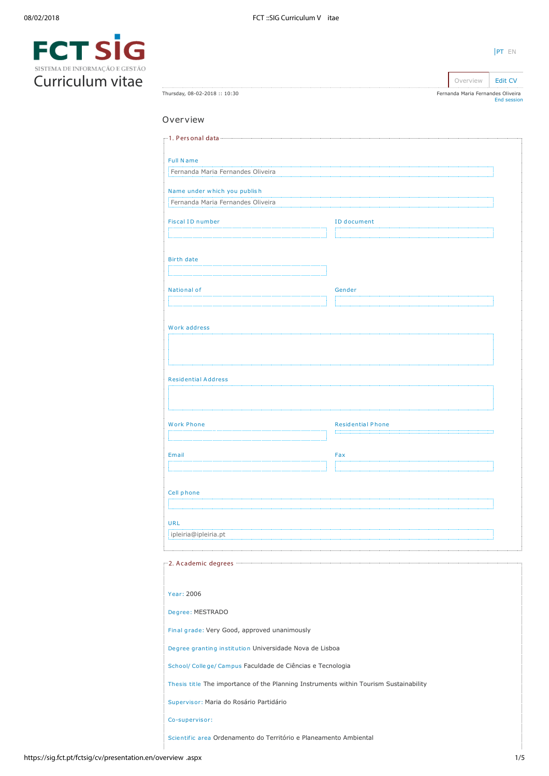| SISTEMA DE INFORMAÇÃO E GESTÃO |  |
|--------------------------------|--|
| Curriculum vitae               |  |

| Thursday, 08-02-2018 :: 10:30                                                         |  | Fernanda Maria Fernandes Oliveira | End session |
|---------------------------------------------------------------------------------------|--|-----------------------------------|-------------|
| Overview                                                                              |  |                                   |             |
|                                                                                       |  |                                   |             |
|                                                                                       |  |                                   |             |
| <b>Full Name</b>                                                                      |  |                                   |             |
| Fernanda Maria Fernandes Oliveira                                                     |  |                                   |             |
| Name under which you publish                                                          |  |                                   |             |
| Fernanda Maria Fernandes Oliveira                                                     |  |                                   |             |
| <b>Fiscal ID number</b>                                                               |  | ID document                       |             |
|                                                                                       |  |                                   |             |
| <b>Birth date</b>                                                                     |  |                                   |             |
|                                                                                       |  |                                   |             |
| National of                                                                           |  | Gender                            |             |
|                                                                                       |  |                                   |             |
| Work address                                                                          |  |                                   |             |
|                                                                                       |  |                                   |             |
|                                                                                       |  |                                   |             |
| <b>Residential Address</b>                                                            |  |                                   |             |
|                                                                                       |  |                                   |             |
|                                                                                       |  |                                   |             |
| <b>Work Phone</b>                                                                     |  | <b>Residential Phone</b>          |             |
|                                                                                       |  |                                   |             |
| Email                                                                                 |  | Fax                               |             |
|                                                                                       |  |                                   |             |
| Cell phone                                                                            |  |                                   |             |
|                                                                                       |  |                                   |             |
| <b>URL</b>                                                                            |  |                                   |             |
| ipleiria@ipleiria.pt                                                                  |  |                                   |             |
|                                                                                       |  |                                   |             |
|                                                                                       |  |                                   |             |
| Year: 2006                                                                            |  |                                   |             |
| Degree: MESTRADO                                                                      |  |                                   |             |
|                                                                                       |  |                                   |             |
| Final grade: Very Good, approved unanimously                                          |  |                                   |             |
| Degree granting institution Universidade Nova de Lisboa                               |  |                                   |             |
| School/ College/ Campus Faculdade de Ciências e Tecnologia                            |  |                                   |             |
| Thesis title The importance of the Planning Instruments within Tourism Sustainability |  |                                   |             |
| Supervisor: Maria do Rosário Partidário                                               |  |                                   |             |
| Co-supervisor:                                                                        |  |                                   |             |
| Scientific area Ordenamento do Território e Planeamento Ambiental                     |  |                                   |             |
|                                                                                       |  |                                   |             |

[PT](https://sig.fct.pt/fctsig/cv/presentation.pt/overview.aspx) EN

Overview **[Edit CV](https://sig.fct.pt/fctsig/cv/presentation.en/editCV.aspx)**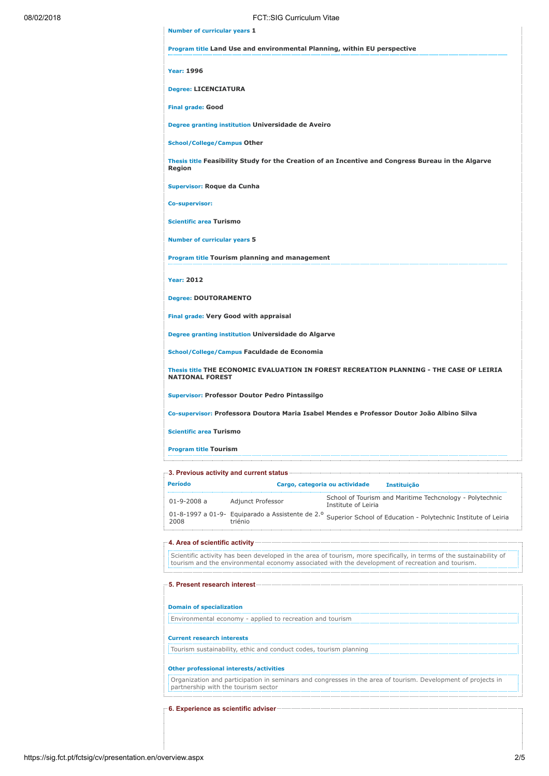| 08/02/2018 | <b>FCT: SIG Curriculum Vitae</b>                                                                                         |
|------------|--------------------------------------------------------------------------------------------------------------------------|
|            | <b>Number of curricular years 1</b>                                                                                      |
|            | Program title Land Use and environmental Planning, within EU perspective                                                 |
|            | <b>Year: 1996</b>                                                                                                        |
|            | <b>Degree: LICENCIATURA</b>                                                                                              |
|            | <b>Final grade: Good</b>                                                                                                 |
|            | Degree granting institution Universidade de Aveiro                                                                       |
|            | <b>School/College/Campus Other</b>                                                                                       |
|            | Thesis title Feasibility Study for the Creation of an Incentive and Congress Bureau in the Algarve<br>Region             |
|            | Supervisor: Roque da Cunha                                                                                               |
|            | <b>Co-supervisor:</b>                                                                                                    |
|            | <b>Scientific area Turismo</b>                                                                                           |
|            | <b>Number of curricular years 5</b>                                                                                      |
|            | Program title Tourism planning and management                                                                            |
|            | <b>Year: 2012</b>                                                                                                        |
|            | <b>Degree: DOUTORAMENTO</b>                                                                                              |
|            | <b>Final grade: Very Good with appraisal</b>                                                                             |
|            | Degree granting institution Universidade do Algarve                                                                      |
|            | School/College/Campus Faculdade de Economia                                                                              |
|            | Thesis title THE ECONOMIC EVALUATION IN FOREST RECREATION PLANNING - THE CASE OF LEIRIA<br><b>NATIONAL FOREST</b>        |
|            | <b>Supervisor: Professor Doutor Pedro Pintassilgo</b>                                                                    |
|            | Co-supervisor: Professora Doutora Maria Isabel Mendes e Professor Doutor João Albino Silva                               |
|            | <b>Scientific area Turismo</b>                                                                                           |
|            | <b>Program title Tourism</b>                                                                                             |
|            |                                                                                                                          |
|            | <b>Período</b><br>Cargo, categoria ou actividade<br>Instituição                                                          |
|            | School of Tourism and Maritime Techcnology - Polytechnic<br>$01 - 9 - 2008a$<br>Adjunct Professor<br>Institute of Leiria |

01-8-1997 a 01-9- 2008 Equiparado a Assistente de 2.º triénio Superior School of Education - Polytechnic Institute of Leiria

## 4. Area of scientific activity

Scientific activity has been developed in the area of tourism, more specifically, in terms of the sustainability of tourism and the environmental economy associated with the development of recreation and tourism.

## 5. Present research interest

# Domain of specialization

Environmental economy - applied to recreation and tourism

## Current research interests

Tourism sustainability, ethic and conduct codes, tourism planning

## Other professional interests/activities

Organization and participation in seminars and congresses in the area of tourism. Development of projects in partnership with the tourism sector

## 6. Experience as scientific adviser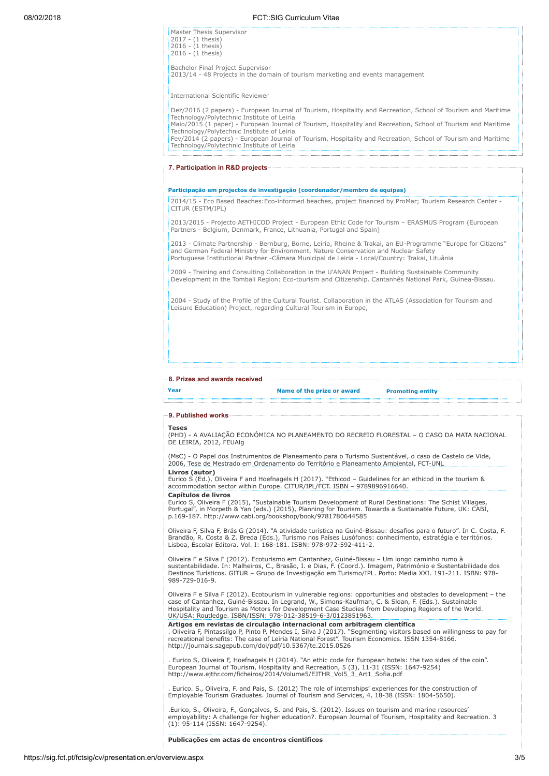| Dez/2016 (2 papers) - European Journal of Tourism, Hospitality and Recreation, School of Tourism and Maritime<br>Maio/2015 (1 paper) - European Journal of Tourism, Hospitality and Recreation, School of Tourism and Maritime<br>Fev/2014 (2 papers) - European Journal of Tourism, Hospitality and Recreation, School of Tourism and Maritime |
|-------------------------------------------------------------------------------------------------------------------------------------------------------------------------------------------------------------------------------------------------------------------------------------------------------------------------------------------------|
|                                                                                                                                                                                                                                                                                                                                                 |
|                                                                                                                                                                                                                                                                                                                                                 |
|                                                                                                                                                                                                                                                                                                                                                 |
|                                                                                                                                                                                                                                                                                                                                                 |
| = 2014/15 - Eco Based Beaches: Eco-informed beaches, project financed by ProMar; Tourism Research Center -                                                                                                                                                                                                                                      |
| 2013/2015 - Projecto AETHICOD Project - European Ethic Code for Tourism - ERASMUS Program (European                                                                                                                                                                                                                                             |
| 2013 - Climate Partnership - Bernburg, Borne, Leiria, Rheine & Trakai, an EU-Programme "Europe for Citizens"                                                                                                                                                                                                                                    |
|                                                                                                                                                                                                                                                                                                                                                 |
| 2009 - Training and Consulting Collaboration in the U'ANAN Project - Building Sustainable Community<br>Development in the Tombali Region: Eco-tourism and Citizenship. Cantanhês National Park, Guinea-Bissau.                                                                                                                                  |
|                                                                                                                                                                                                                                                                                                                                                 |

#### 8. Prizes and awards received

| Year | Name of the prize or award | <b>Promoting entity</b> |
|------|----------------------------|-------------------------|
|      |                            |                         |

## 9. Published works

#### Teses

(PHD) - A AVALIAÇÃO ECONÓMICA NO PLANEAMENTO DO RECREIO FLORESTAL – O CASO DA MATA NACIONAL DE LEIRIA, 2012, FEUAlg

(MsC) - O Papel dos Instrumentos de Planeamento para o Turismo Sustentável, o caso de Castelo de Vide, 2006, Tese de Mestrado em Ordenamento do Território e Planeamento Ambiental, FCT-UNL Livros (autor)

Eurico S (Ed.), Oliveira F and Hoefnagels H (2017). "Ethicod – Guidelines for an ethicod in the tourism & accommodation sector within Europe. CITUR/IPL/FCT. ISBN – 9789896916640. Capítulos de livros

Eurico S, Oliveira F (2015), "Sustainable Tourism Development of Rural Destinations: The Schist Villages, Portugal", in Morpeth & Yan (eds.) (2015), Planning for Tourism. Towards a Sustainable Future, UK: CABI, p.169-187. http://www.cabi.org/bookshop/book/9781780644585

Oliveira F, Silva F, Brás G (2014). "A atividade turística na Guiné-Bissau: desafios para o futuro". In C. Costa, F. Brandão, R. Costa & Z. Breda (Eds.), Turismo nos Países Lusófonos: conhecimento, estratégia e territórios. Lisboa, Escolar Editora. Vol. I: 168-181. ISBN: 978-972-592-411-2.

Oliveira F e Silva F (2012). Ecoturismo em Cantanhez, Guiné-Bissau – Um longo caminho rumo à sustentabilidade. In: Malheiros, C., Brasão, I. e Dias, F. (Coord.). Imagem, Património e Sustentabilidade dos<br>Destinos Turísticos. GITUR – Grupo de Investigação em Turismo/IPL. Porto: Media XXI. 191-211. ISBN: 978-989-729-016-9.

Oliveira F e Silva F (2012). Ecotourism in vulnerable regions: opportunities and obstacles to development – the case of Cantanhez, Guiné-Bissau. In Legrand, W., Simons-Kaufman, C. & Sloan, F. (Eds.). Sustainable Hospitality and Tourism as Motors for Development Case Studies from Developing Regions of the World. UK/USA: Routledge. ISBN/ISSN: 978-012-38519-6-3/0123851963.

**Artigos em revistas de circulação internacional com arbitragem científica**<br>. Oliveira F, Pintassilgo P, Pinto P, Mendes I, Silva J (2017). "Segmenting visitors based on willingness to pay for<br>recreational benefits: The ca http://journals.sagepub.com/doi/pdf/10.5367/te.2015.0526

. Eurico S, Oliveira F, Hoefnagels H (2014). "An ethic code for European hotels: the two sides of the coin". European Journal of Tourism, Hospitality and Recreation, 5 (3), 11-31 (ISSN: 1647-9254) http://www.ejthr.com/ficheiros/2014/Volume5/EJTHR\_Vol5\_3\_Art1\_Sofia.pdf

. Eurico. S., Oliveira, F. and Pais, S. (2012) The role of internships' experiences for the construction of Employable Tourism Graduates. Journal of Tourism and Services, 4, 18-38 (ISSN: 1804-5650).

.Eurico, S., Oliveira, F., Gonçalves, S. and Pais, S. (2012). Issues on tourism and marine resources' employability: A challenge for higher education?. European Journal of Tourism, Hospitality and Recreation. 3 (1): 95-114 (ISSN: 1647-9254).

# Publicações em actas de encontros científicos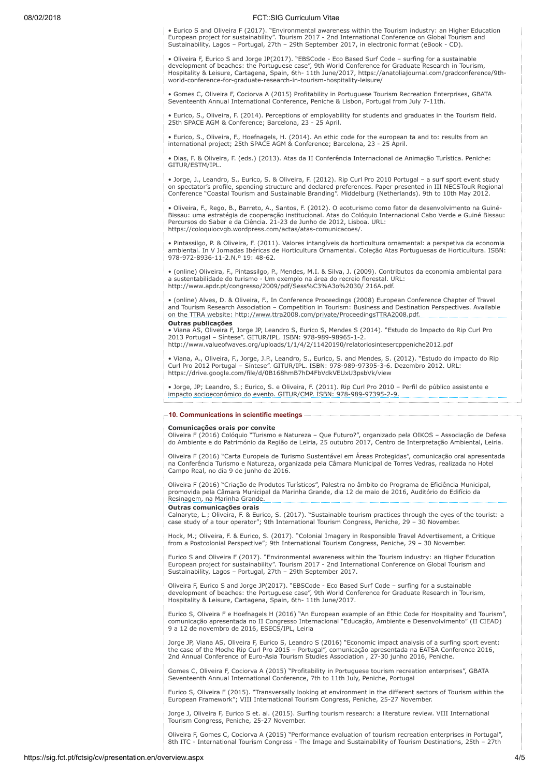## 08/02/2018 FCT::SIG Curriculum Vitae

• Eurico S and Oliveira F (2017). "Environmental awareness within the Tourism industry: an Higher Education European project for sustainability". Tourism 2017 - 2nd International Conference on Global Tourism and Sustainability, Lagos – Portugal, 27th – 29th September 2017, in electronic format (eBook - CD).

• Oliveira F, Eurico S and Jorge JP(2017). "EBSCode - Eco Based Surf Code – surfing for a sustainable development of beaches: the Portuguese case", 9th World Conference for Graduate Research in Tourism,<br>Hospitality & Leisure, Cartagena, Spain, 6th- 11th June/2017, https://anatoliajournal.com/gradconference/9th-<br>world-confe

• Gomes C, Oliveira F, Cociorva A (2015) Profitability in Portuguese Tourism Recreation Enterprises, GBATA Seventeenth Annual International Conference, Peniche & Lisbon, Portugal from July 7-11th.

• Eurico, S., Oliveira, F. (2014). Perceptions of employability for students and graduates in the Tourism field. 25th SPACE AGM & Conference; Barcelona, 23 - 25 April.

• Eurico, S., Oliveira, F., Hoefnagels, H. (2014). An ethic code for the european ta and to: results from an international project; 25th SPACE AGM & Conference; Barcelona, 23 - 25 April.

• Dias, F. & Oliveira, F. (eds.) (2013). Atas da II Conferência Internacional de Animação Turística. Peniche: GITUR/ESTM/IPL.

• Jorge, J., Leandro, S., Eurico, S. & Oliveira, F. (2012). Rip Curl Pro 2010 Portugal – a surf sport event study on spectator's profile, spending structure and declared preferences. Paper presented in III NECSTouR Regional Conference "Coastal Tourism and Sustainable Branding". Middelburg (Netherlands). 9th to 10th May 2012.

• Oliveira, F., Rego, B., Barreto, A., Santos, F. (2012). O ecoturismo como fator de desenvolvimento na Guiné-Bissau: uma estratégia de cooperação institucional. Atas do Colóquio Internacional Cabo Verde e Guiné Bissau: Percursos do Saber e da Ciência. 21-23 de Junho de 2012, Lisboa. URL: https://coloquiocvgb.wordpress.com/actas/atas-comunicacoes/.

• Pintassilgo, P. & Oliveira, F. (2011). Valores intangíveis da horticultura ornamental: a perspetiva da economia ambiental. In V Jornadas Ibéricas de Horticultura Ornamental. Coleção Atas Portuguesas de Horticultura. ISBN: 978-972-8936-11-2.N.º 19: 48-62.

• (online) Oliveira, F., Pintassilgo, P., Mendes, M.I. & Silva, J. (2009). Contributos da economia ambiental para<br>a sustentabilidade do turismo - Um exemplo na área do recreio florestal. URL:<br>http://www.apdr.pt/congresso/2

• (online) Alves, D. & Oliveira, F., In Conference Proceedings (2008) European Conference Chapter of Travel and Tourism Research Association – Competition in Tourism: Business and Destination Perspectives. Available on the TTRA website: http://www.ttra2008.com/private/ProceedingsTTRA2008.pdf. Outras publicações

• Viana AS, Oliveira F, Jorge JP, Leandro S, Eurico S, Mendes S (2014). "Estudo do Impacto do Rip Curl Pro 2013 Portugal – Síntese". GITUR/IPL. ISBN: 978-989-98965-1-2. http://www.valueofwaves.org/uploads/1/1/4/2/11420190/relatoriosintesercppeniche2012.pdf

• Viana, A., Oliveira, F., Jorge, J.P., Leandro, S., Eurico, S. and Mendes, S. (2012). "Estudo do impacto do Rip Curl Pro 2012 Portugal – Síntese". GITUR/IPL. ISBN: 978-989-97395-3-6. Dezembro 2012. URL: https://drive.google.com/file/d/0B168hmB7hD4FbVdkVEUxU3psbVk/view

• Jorge, JP; Leandro, S.; Eurico, S. e Oliveira, F. (2011). Rip Curl Pro 2010 – Perfil do público assistente e impacto socioeconómico do evento. GITUR/CMP. ISBN: 978-989-97395-2-9.

## 10. Communications in scientific meetings

## Comunicações orais por convite

Oliveira F (2016) Colóquio "Turismo e Natureza – Que Futuro?", organizado pela OIKOS – Associação de Defesa do Ambiente e do Património da Região de Leiria, 25 outubro 2017, Centro de Interpretação Ambiental, Leiria.

Oliveira F (2016) "Carta Europeia de Turismo Sustentável em Áreas Protegidas", comunicação oral apresentada na Conferência Turismo e Natureza, organizada pela Câmara Municipal de Torres Vedras, realizada no Hotel Campo Real, no dia 9 de junho de 2016.

Oliveira F (2016) "Criação de Produtos Turísticos", Palestra no âmbito do Programa de Eficiência Municipal, promovida pela Câmara Municipal da Marinha Grande, dia 12 de maio de 2016, Auditório do Edifício da Resinagem, na Marinha Grande.

## Outras comunicações orais

Calnaryte, L.; Oliveira, F. & Eurico, S. (2017). "Sustainable tourism practices through the eyes of the tourist: a case study of a tour operator"; 9th International Tourism Congress, Peniche, 29 – 30 November.

Hock, M.; Oliveira, F. & Eurico, S. (2017). "Colonial Imagery in Responsible Travel Advertisement, a Critique<br>from a Postcolonial Perspective"; 9th International Tourism Congress, Peniche, 29 – 30 November.

Eurico S and Oliveira F (2017). "Environmental awareness within the Tourism industry: an Higher Education<br>European project for sustainability". Tourism 2017 - 2nd International Conference on Global Tourism and<br>Sustainabili

Oliveira F, Eurico S and Jorge JP(2017). "EBSCode - Eco Based Surf Code – surfing for a sustainable development of beaches: the Portuguese case", 9th World Conference for Graduate Research in Tourism, Hospitality & Leisure, Cartagena, Spain, 6th- 11th June/2017.

Eurico S, Oliveira F e Hoefnagels H (2016) "An European example of an Ethic Code for Hospitality and Tourism", comunicação apresentada no II Congresso Internacional "Educação, Ambiente e Desenvolvimento" (II CIEAD) 9 a 12 de novembro de 2016, ESECS/IPL, Leiria

Jorge JP, Viana AS, Oliveira F, Eurico S, Leandro S (2016) "Economic impact analysis of a surfing sport event: the case of the Moche Rip Curl Pro 2015 – Portugal", comunicação apresentada na EATSA Conference 2016,<br>2nd Annual Conference of Euro-Asia Tourism Studies Association , 27-30 junho 2016, Peniche.

Gomes C, Oliveira F, Cociorva A (2015) "Profitability in Portuguese tourism recreation enterprises", GBATA Seventeenth Annual International Conference, 7th to 11th July, Peniche, Portugal

Eurico S, Oliveira F (2015). "Transversally looking at environment in the different sectors of Tourism within the European Framework"; VIII International Tourism Congress, Peniche, 25-27 November.

Jorge J, Oliveira F, Eurico S et. al. (2015). Surfing tourism research: a literature review. VIII International Tourism Congress, Peniche, 25-27 November.

Oliveira F, Gomes C, Cociorva A (2015) "Performance evaluation of tourism recreation enterprises in Portugal", 8th ITC - International Tourism Congress - The Image and Sustainability of Tourism Destinations, 25th – 27th